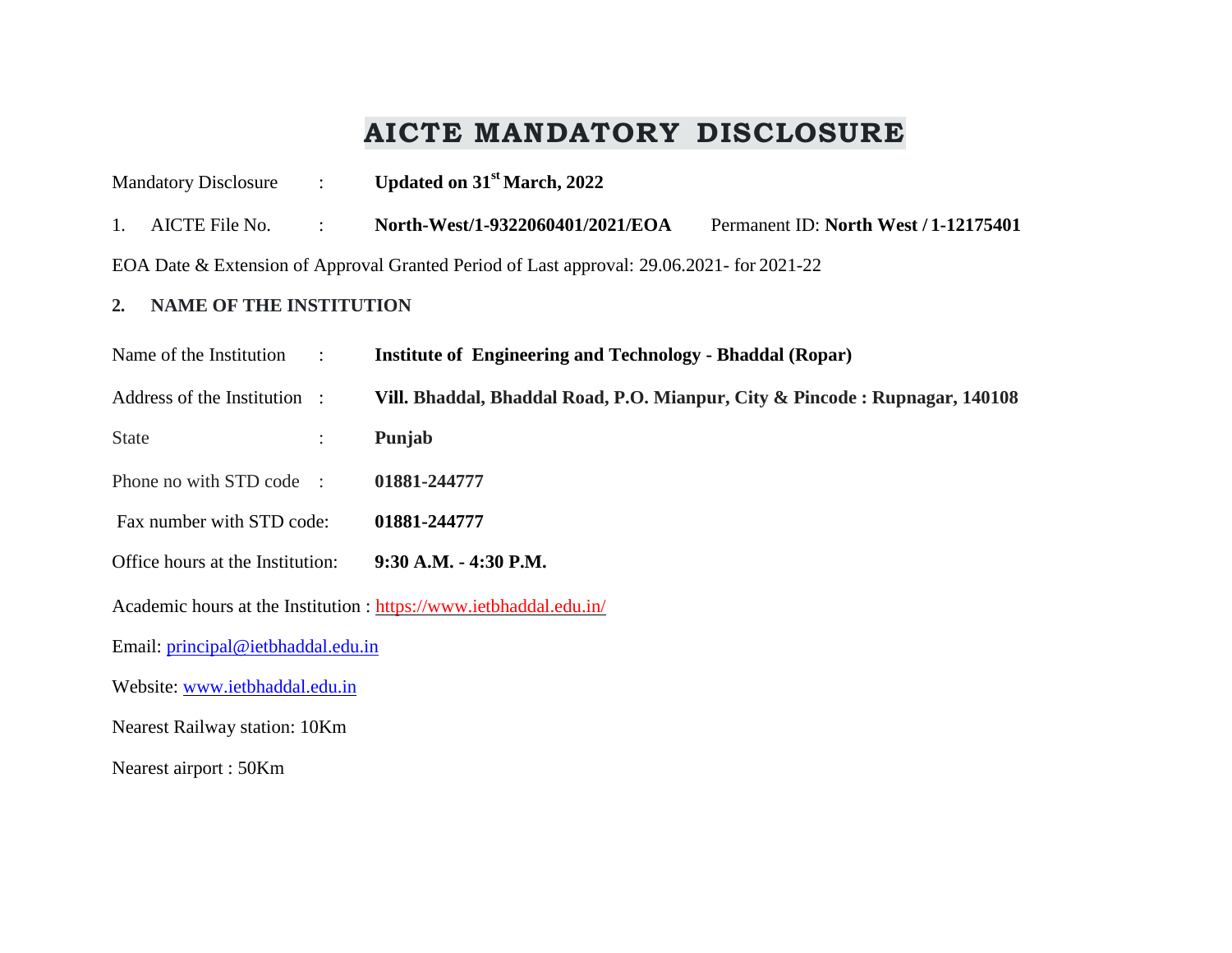# **AICTE MANDATORY DISCLOSURE**

| <b>Mandatory Disclosure</b><br>$\mathbb{R}^{\mathbb{Z}}$                                  | Updated on 31 <sup>st</sup> March, 2022                                     |                                       |  |  |  |  |
|-------------------------------------------------------------------------------------------|-----------------------------------------------------------------------------|---------------------------------------|--|--|--|--|
| AICTE File No.<br>1.<br>$\ddot{\cdot}$                                                    | North-West/1-9322060401/2021/EOA                                            | Permanent ID: North West / 1-12175401 |  |  |  |  |
| EOA Date & Extension of Approval Granted Period of Last approval: 29.06.2021- for 2021-22 |                                                                             |                                       |  |  |  |  |
| <b>NAME OF THE INSTITUTION</b><br>2.                                                      |                                                                             |                                       |  |  |  |  |
| Name of the Institution<br>$\therefore$                                                   | <b>Institute of Engineering and Technology - Bhaddal (Ropar)</b>            |                                       |  |  |  |  |
| Address of the Institution :                                                              | Vill. Bhaddal, Bhaddal Road, P.O. Mianpur, City & Pincode: Rupnagar, 140108 |                                       |  |  |  |  |
| <b>State</b><br>$\ddot{\cdot}$                                                            | Punjab                                                                      |                                       |  |  |  |  |
| Phone no with STD code :<br>01881-244777                                                  |                                                                             |                                       |  |  |  |  |
| Fax number with STD code:<br>01881-244777                                                 |                                                                             |                                       |  |  |  |  |
| Office hours at the Institution:<br>9:30 A.M. - 4:30 P.M.                                 |                                                                             |                                       |  |  |  |  |
| Academic hours at the Institution : https://www.ietbhaddal.edu.in/                        |                                                                             |                                       |  |  |  |  |
| Email: principal@ietbhaddal.edu.in                                                        |                                                                             |                                       |  |  |  |  |
| Website: www.ietbhaddal.edu.in                                                            |                                                                             |                                       |  |  |  |  |
| Nearest Railway station: 10Km                                                             |                                                                             |                                       |  |  |  |  |
| Nearest airport: 50Km                                                                     |                                                                             |                                       |  |  |  |  |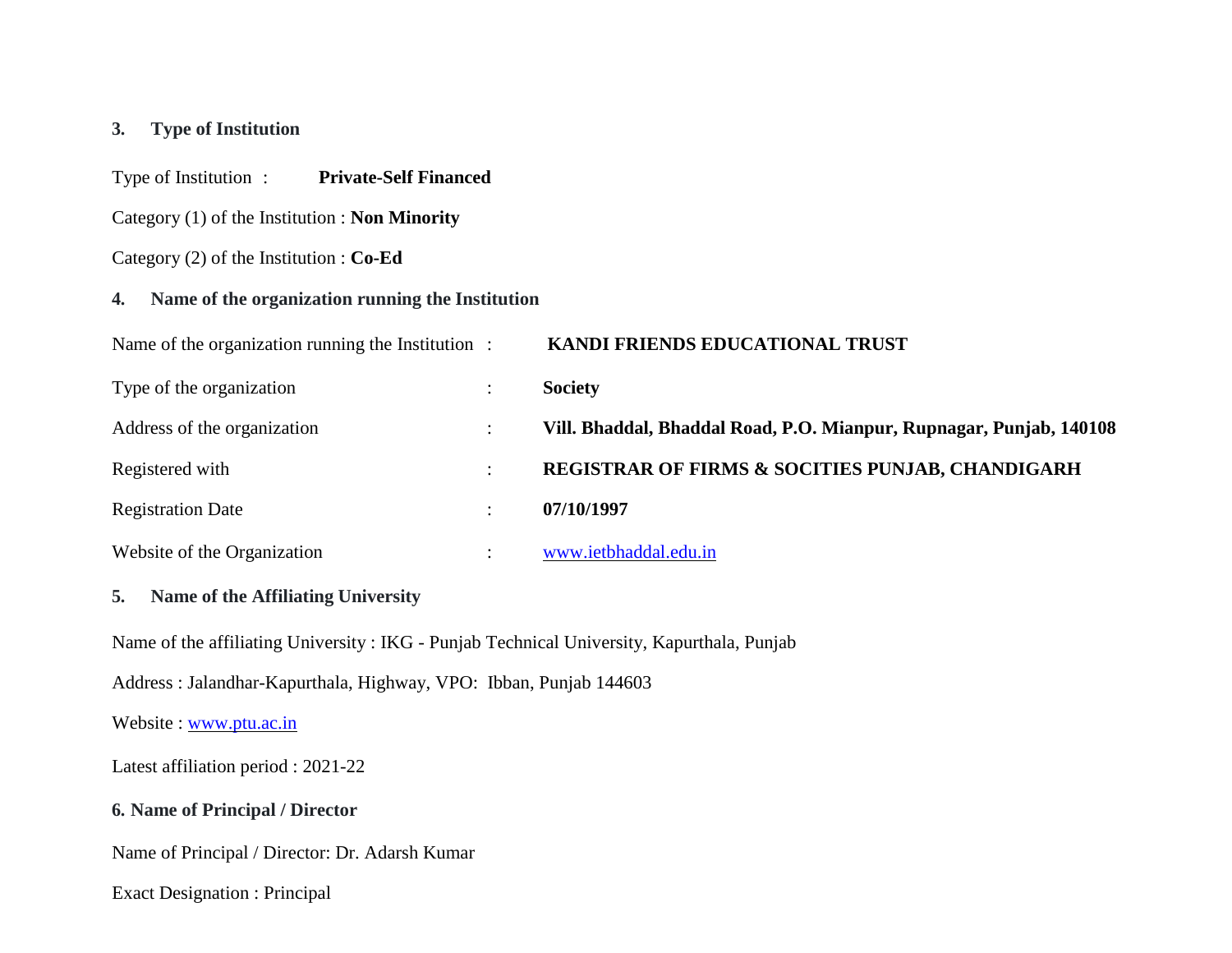### **3. Type of Institution**

Type of Institution : **Private-Self Financed**

Category (1) of the Institution : **Non Minority**

Category (2) of the Institution : **Co-Ed**

### **4. Name of the organization running the Institution**

| Name of the organization running the Institution: | KANDI FRIENDS EDUCATIONAL TRUST                                     |
|---------------------------------------------------|---------------------------------------------------------------------|
| Type of the organization                          | <b>Society</b>                                                      |
| Address of the organization                       | Vill. Bhaddal, Bhaddal Road, P.O. Mianpur, Rupnagar, Punjab, 140108 |
| Registered with                                   | <b>REGISTRAR OF FIRMS &amp; SOCITIES PUNJAB, CHANDIGARH</b>         |
| <b>Registration Date</b>                          | 07/10/1997                                                          |
| Website of the Organization                       | www.ietbhaddal.edu.in                                               |

#### **5. Name of the Affiliating University**

Name of the affiliating University : IKG - Punjab Technical University, Kapurthala, Punjab

Address : Jalandhar-Kapurthala, Highway, VPO: Ibban, Punjab 144603

Website : [www.ptu.ac.in](http://www.ptu.ac.in/)

Latest affiliation period : 2021-22

**6. Name of Principal / Director**

Name of Principal / Director: Dr. Adarsh Kumar

Exact Designation : Principal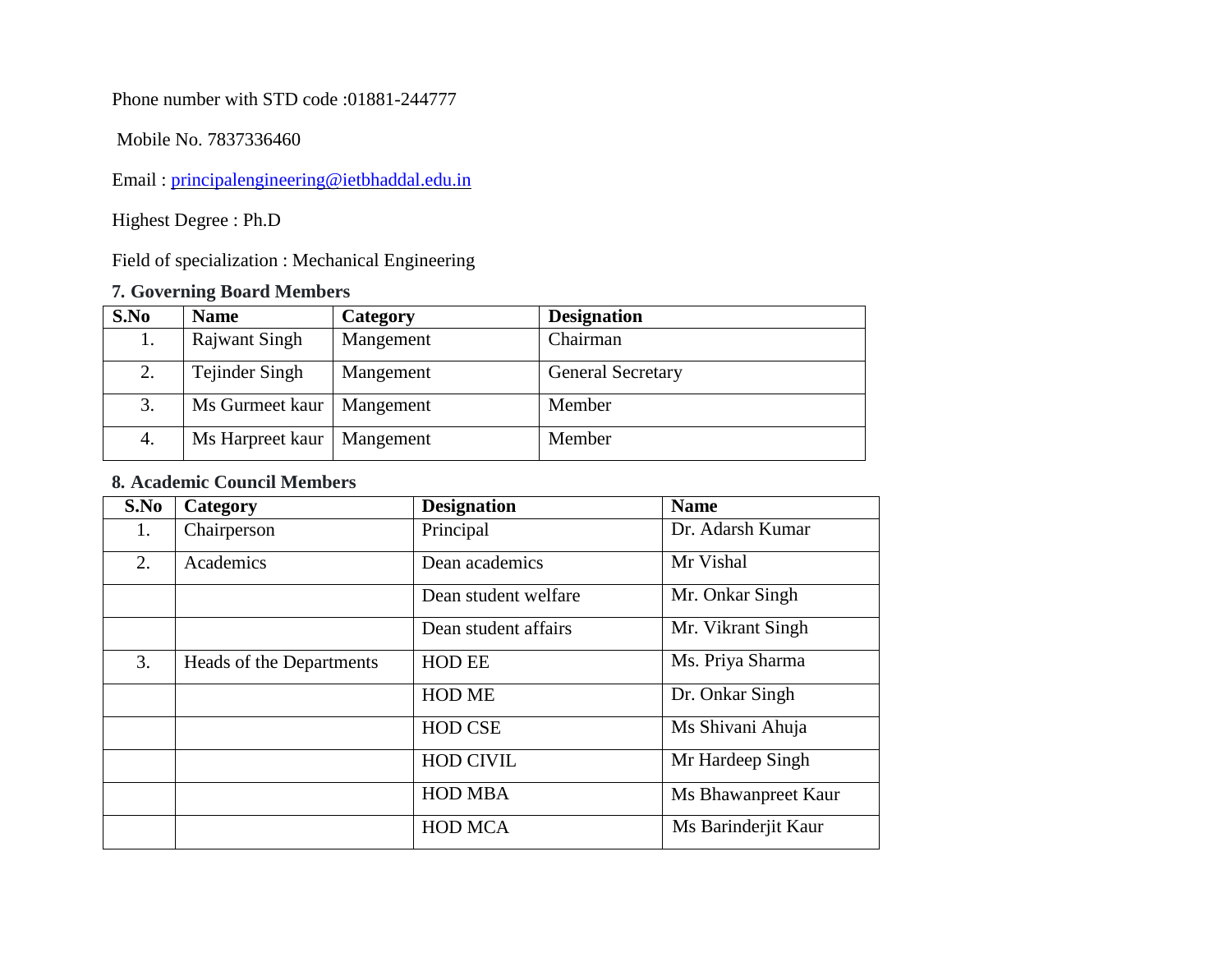Phone number with STD code :01881-244777

Mobile No. 7837336460

Email : [principalengineering@ietbhaddal.edu.in](mailto:principal@ietbhaddal.edu.in)

Highest Degree : Ph.D

Field of specialization : Mechanical Engineering

# **7. Governing Board Members**

| S.No | <b>Name</b>                 | Category         | <b>Designation</b>       |
|------|-----------------------------|------------------|--------------------------|
|      | <b>Rajwant Singh</b>        | Mangement        | Chairman                 |
| 2.   | Tejinder Singh              | Mangement        | <b>General Secretary</b> |
| 3.   | Ms Gurmeet kaur   Mangement |                  | Member                   |
| 4.   | Ms Harpreet kaur            | <b>Mangement</b> | Member                   |

# **8. Academic Council Members**

| S.No | Category                 | <b>Designation</b>   | <b>Name</b>         |
|------|--------------------------|----------------------|---------------------|
| 1.   | Chairperson              | Principal            | Dr. Adarsh Kumar    |
| 2.   | Academics                | Dean academics       | Mr Vishal           |
|      |                          | Dean student welfare | Mr. Onkar Singh     |
|      |                          | Dean student affairs | Mr. Vikrant Singh   |
| 3.   | Heads of the Departments | <b>HOD EE</b>        | Ms. Priya Sharma    |
|      |                          | <b>HOD ME</b>        | Dr. Onkar Singh     |
|      |                          | <b>HOD CSE</b>       | Ms Shivani Ahuja    |
|      |                          | <b>HOD CIVIL</b>     | Mr Hardeep Singh    |
|      |                          | <b>HOD MBA</b>       | Ms Bhawanpreet Kaur |
|      |                          | <b>HOD MCA</b>       | Ms Barinderjit Kaur |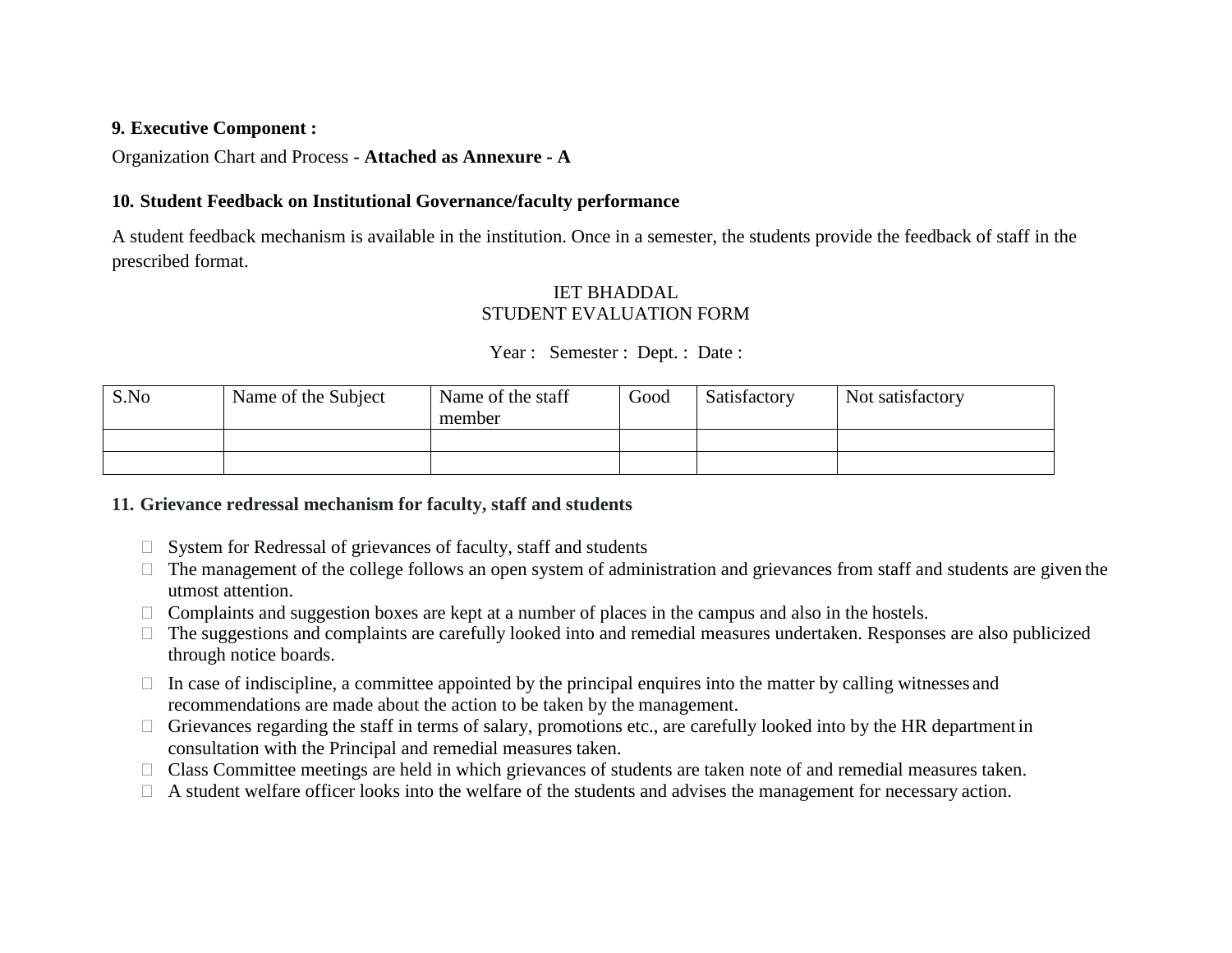### **9. Executive Component :**

Organization Chart and Process - **Attached as Annexure - A**

#### **10. Student Feedback on Institutional Governance/faculty performance**

A student feedback mechanism is available in the institution. Once in a semester, the students provide the feedback of staff in the prescribed format.

## IET BHADDAL STUDENT EVALUATION FORM

## Year : Semester : Dept. : Date :

| S.No | Name of the Subject | Name of the staff<br>member | Good | Satisfactory | Not satisfactory |
|------|---------------------|-----------------------------|------|--------------|------------------|
|      |                     |                             |      |              |                  |
|      |                     |                             |      |              |                  |

#### **11. Grievance redressal mechanism for faculty, staff and students**

- $\Box$  System for Redressal of grievances of faculty, staff and students
- $\Box$  The management of the college follows an open system of administration and grievances from staff and students are given the utmost attention.
- $\Box$  Complaints and suggestion boxes are kept at a number of places in the campus and also in the hostels.
- The suggestions and complaints are carefully looked into and remedial measures undertaken. Responses are also publicized through notice boards.
- $\Box$  In case of indiscipline, a committee appointed by the principal enquires into the matter by calling witnesses and recommendations are made about the action to be taken by the management.
- $\Box$  Grievances regarding the staff in terms of salary, promotions etc., are carefully looked into by the HR department in consultation with the Principal and remedial measures taken.
- □ Class Committee meetings are held in which grievances of students are taken note of and remedial measures taken.
- $\Box$  A student welfare officer looks into the welfare of the students and advises the management for necessary action.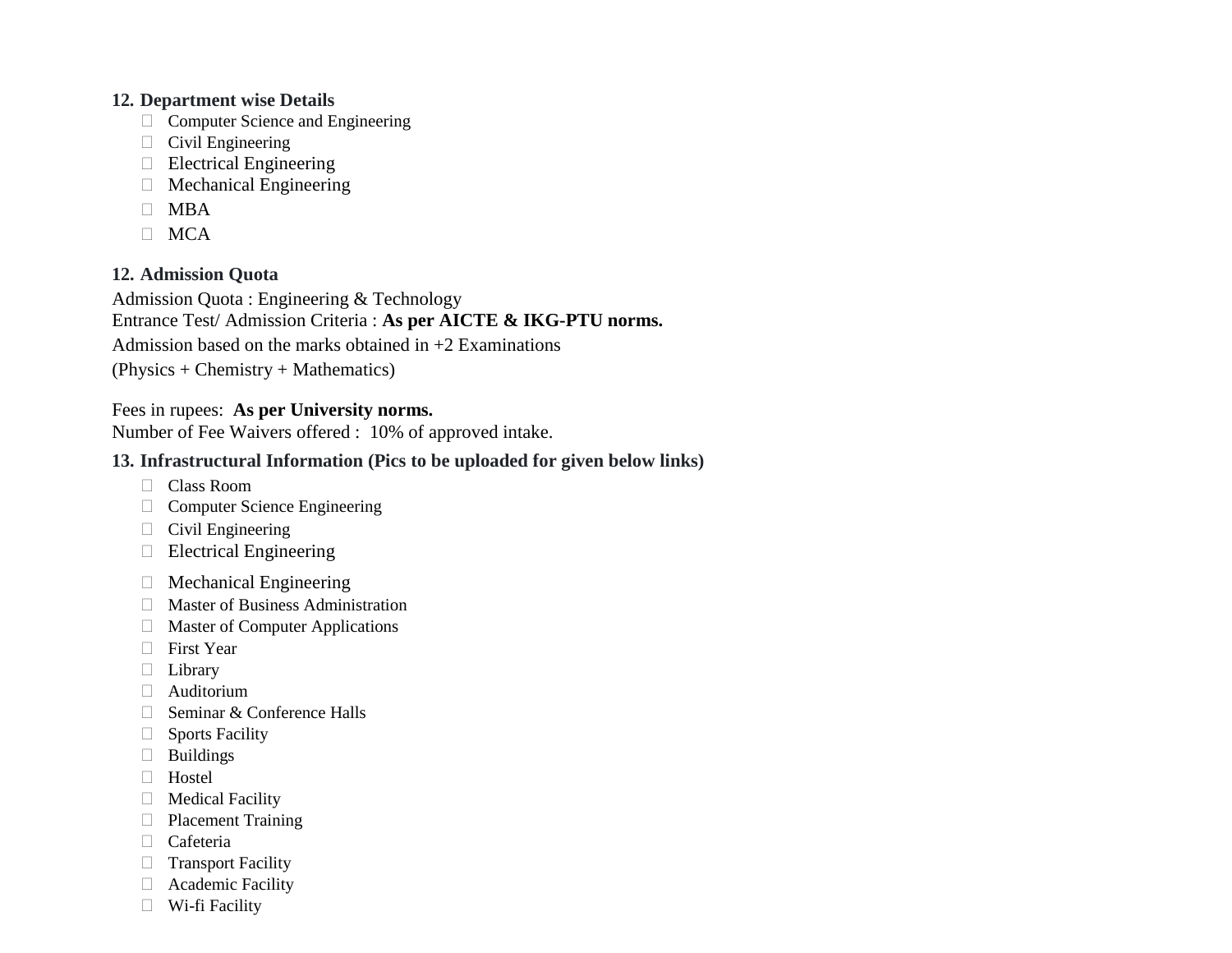### **12. Department wise Details**

- $\Box$  Computer Science and Engineering
- $\Box$  Civil Engineering
- $\Box$  Electrical Engineering
- Mechanical Engineering
- $\Box$  MBA
- $\Box$  MCA

## **12. Admission Quota**

Admission Quota : Engineering & Technology Entrance Test/ Admission Criteria : **As per AICTE & IKG-PTU norms.**  Admission based on the marks obtained in  $+2$  Examinations (Physics + Chemistry + Mathematics)

# Fees in rupees: **As per University norms.**

Number of Fee Waivers offered : 10% of approved intake.

# **13. Infrastructural Information (Pics to be uploaded for given below links)**

- Class Room
- □ Computer Science Engineering
- $\Box$  Civil Engineering
- Electrical Engineering
- Mechanical Engineering
- Master of Business Administration
- Master of Computer Applications
- **First Year**
- **Library**
- Auditorium
- $\Box$  Seminar & Conference Halls
- **Sports Facility**
- **Buildings**
- Hostel
- **Medical Facility**
- **Placement Training**
- Cafeteria
- $\Box$  Transport Facility
- Academic Facility
- Wi-fi Facility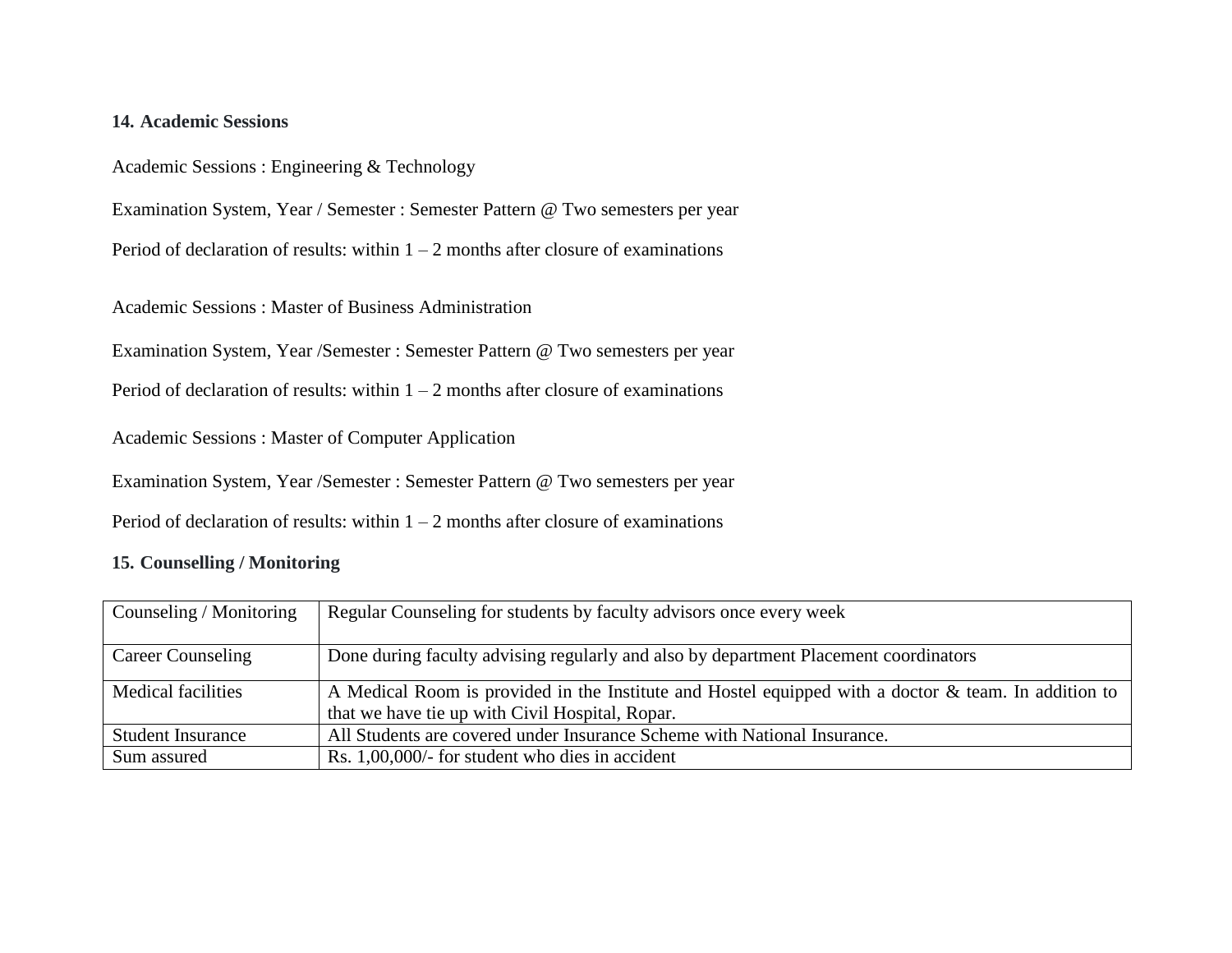### **14. Academic Sessions**

Academic Sessions : Engineering & Technology

Examination System, Year / Semester : Semester Pattern @ Two semesters per year

Period of declaration of results: within  $1 - 2$  months after closure of examinations

Academic Sessions : Master of Business Administration

Examination System, Year /Semester : Semester Pattern @ Two semesters per year

Period of declaration of results: within  $1 - 2$  months after closure of examinations

Academic Sessions : Master of Computer Application

Examination System, Year /Semester : Semester Pattern @ Two semesters per year

Period of declaration of results: within  $1 - 2$  months after closure of examinations

## **15. Counselling / Monitoring**

| Counseling / Monitoring   | Regular Counseling for students by faculty advisors once every week                                  |
|---------------------------|------------------------------------------------------------------------------------------------------|
|                           |                                                                                                      |
| <b>Career Counseling</b>  | Done during faculty advising regularly and also by department Placement coordinators                 |
| <b>Medical facilities</b> | A Medical Room is provided in the Institute and Hostel equipped with a doctor & team. In addition to |
|                           | that we have tie up with Civil Hospital, Ropar.                                                      |
| <b>Student Insurance</b>  | All Students are covered under Insurance Scheme with National Insurance.                             |
| Sum assured               | Rs. $1,00,000/$ - for student who dies in accident                                                   |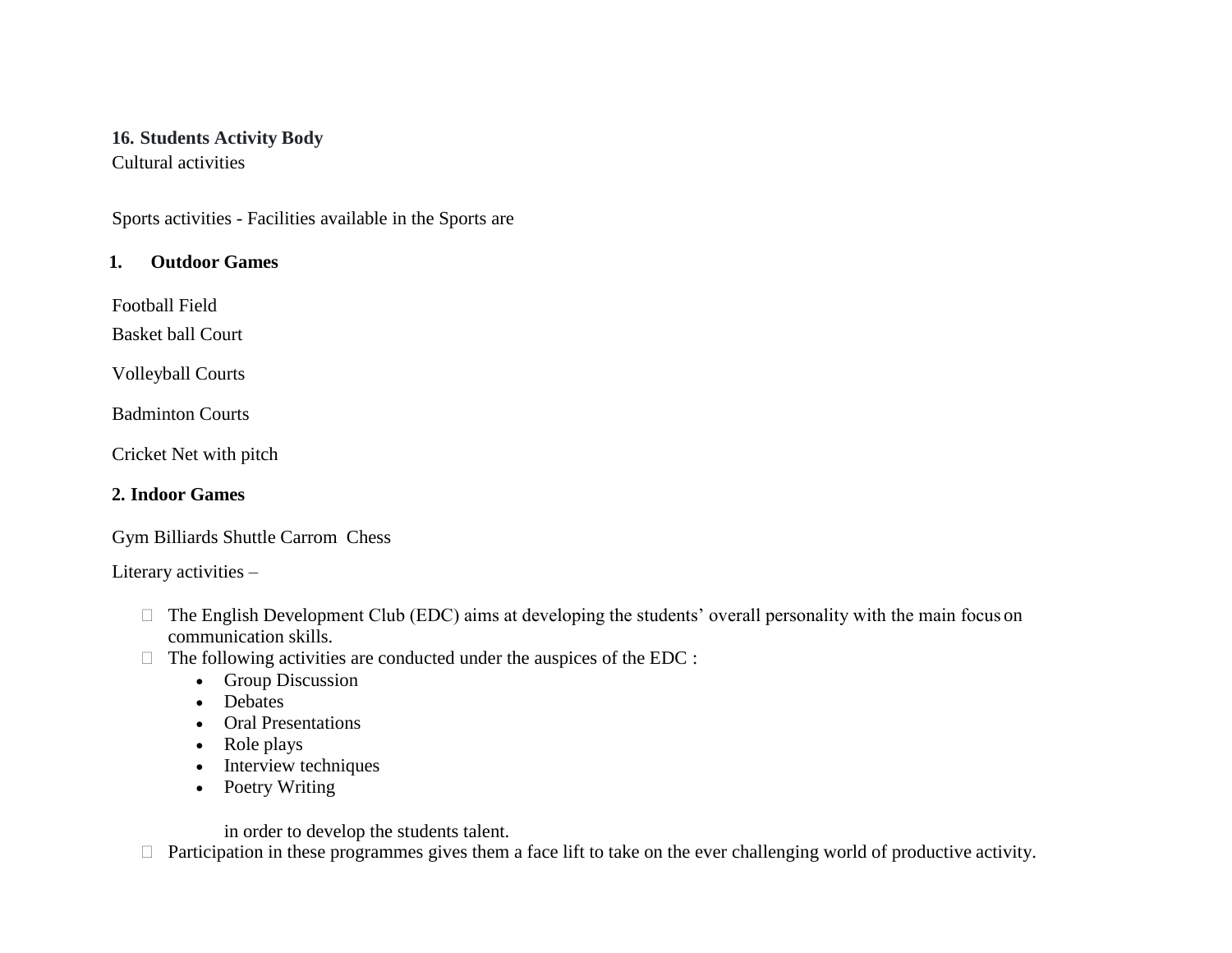#### **16. Students Activity Body** Cultural activities

Sports activities - Facilities available in the Sports are

# **1. Outdoor Games**

Football Field

Basket ball Court

Volleyball Courts

Badminton Courts

Cricket Net with pitch

# **2. Indoor Games**

Gym Billiards Shuttle Carrom Chess

Literary activities –

- $\Box$  The English Development Club (EDC) aims at developing the students' overall personality with the main focus on communication skills.
- $\Box$  The following activities are conducted under the auspices of the EDC :
	- Group Discussion
	- Debates
	- Oral Presentations
	- Role plays
	- Interview techniques
	- Poetry Writing

in order to develop the students talent.

 $\Box$  Participation in these programmes gives them a face lift to take on the ever challenging world of productive activity.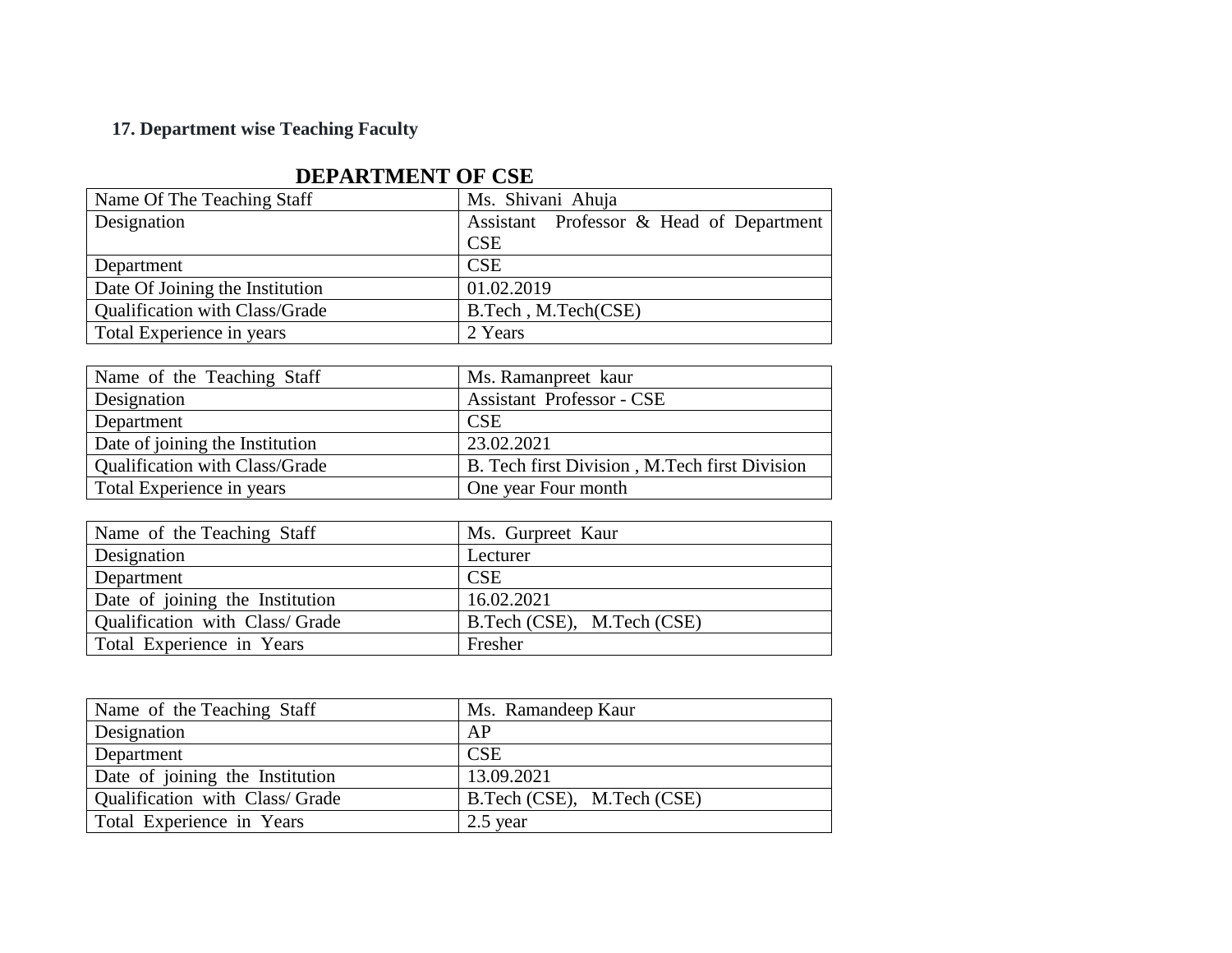# **17. Department wise Teaching Faculty**

| Name Of The Teaching Staff            | Ms. Shivani Ahuja                        |  |  |
|---------------------------------------|------------------------------------------|--|--|
| Designation                           | Assistant Professor & Head of Department |  |  |
|                                       | <b>CSE</b>                               |  |  |
| Department                            | <b>CSE</b>                               |  |  |
| Date Of Joining the Institution       | 01.02.2019                               |  |  |
| <b>Qualification with Class/Grade</b> | B.Tech, M.Tech(CSE)                      |  |  |
| Total Experience in years             | 2 Years                                  |  |  |

# **DEPARTMENT OF CSE**

| Name of the Teaching Staff            | Ms. Ramanpreet kaur                           |
|---------------------------------------|-----------------------------------------------|
| Designation                           | <b>Assistant Professor - CSE</b>              |
| Department                            | <b>CSE</b>                                    |
| Date of joining the Institution       | 23.02.2021                                    |
| <b>Qualification with Class/Grade</b> | B. Tech first Division, M.Tech first Division |
| Total Experience in years             | One year Four month                           |

| Name of the Teaching Staff      | Ms. Gurpreet Kaur          |
|---------------------------------|----------------------------|
| <b>Designation</b>              | Lecturer                   |
| Department                      | <b>CSE</b>                 |
| Date of joining the Institution | 16.02.2021                 |
| Qualification with Class/Grade  | B.Tech (CSE), M.Tech (CSE) |
| Total Experience in Years       | Fresher                    |

| Name of the Teaching Staff      | Ms. Ramandeep Kaur         |
|---------------------------------|----------------------------|
| Designation                     | AP                         |
| Department                      | <b>CSE</b>                 |
| Date of joining the Institution | 13.09.2021                 |
| Qualification with Class/Grade  | B.Tech (CSE), M.Tech (CSE) |
| Total Experience in Years       | $2.5$ year                 |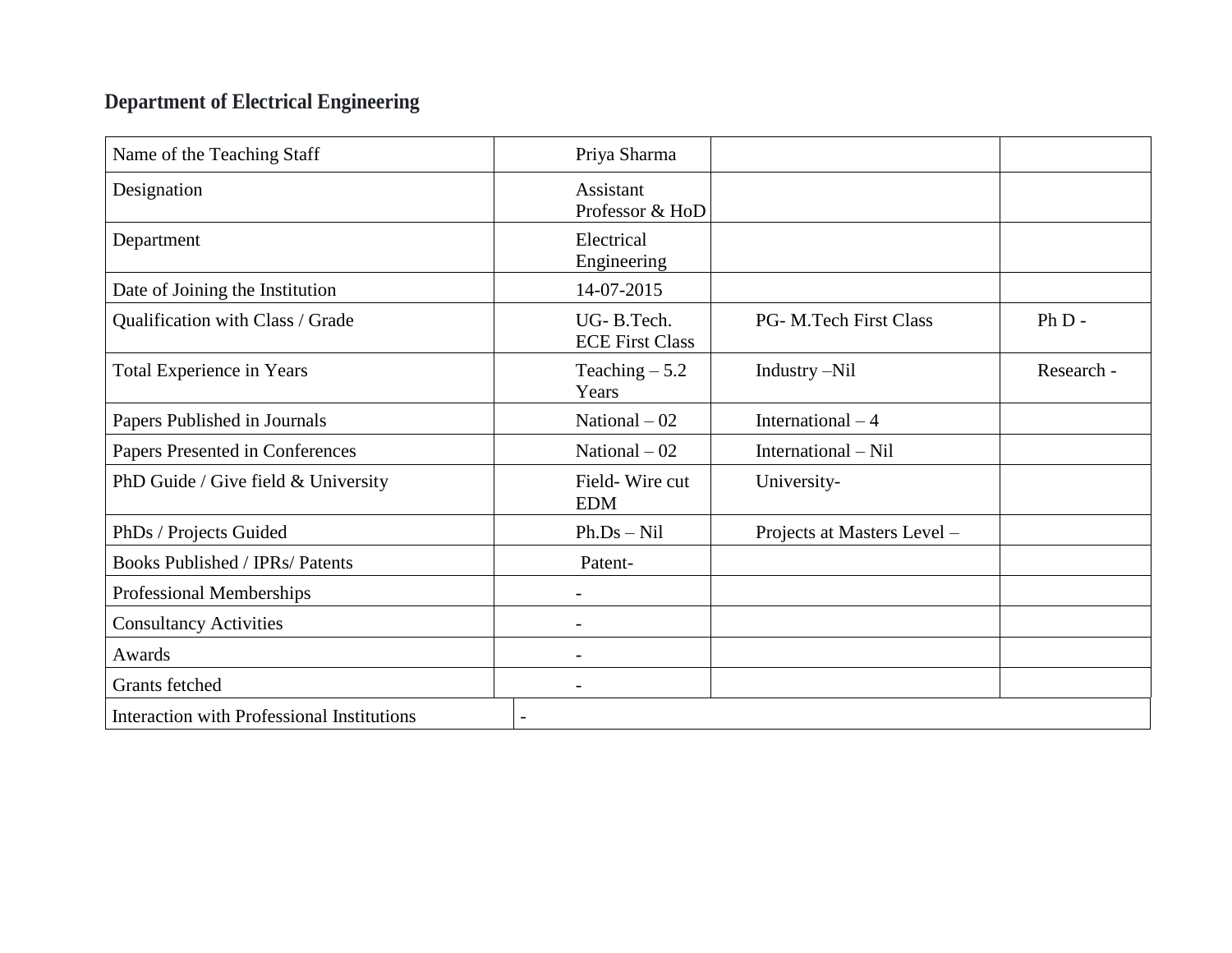# **Department of Electrical Engineering**

| Name of the Teaching Staff                        | Priya Sharma                         |                             |            |
|---------------------------------------------------|--------------------------------------|-----------------------------|------------|
| Designation                                       | Assistant<br>Professor & HoD         |                             |            |
| Department                                        | Electrical<br>Engineering            |                             |            |
| Date of Joining the Institution                   | 14-07-2015                           |                             |            |
| Qualification with Class / Grade                  | UG-B.Tech.<br><b>ECE First Class</b> | PG- M.Tech First Class      | $PhD -$    |
| Total Experience in Years                         | Teaching $-5.2$<br>Years             | Industry -Nil               | Research - |
| Papers Published in Journals                      | National $-02$                       | International $-4$          |            |
| Papers Presented in Conferences                   | National $-02$                       | International – Nil         |            |
| PhD Guide / Give field & University               | Field-Wire cut<br><b>EDM</b>         | University-                 |            |
| PhDs / Projects Guided                            | $Ph.Ds-Nil$                          | Projects at Masters Level - |            |
| <b>Books Published / IPRs/ Patents</b>            | Patent-                              |                             |            |
| Professional Memberships                          |                                      |                             |            |
| <b>Consultancy Activities</b>                     |                                      |                             |            |
| Awards                                            |                                      |                             |            |
| <b>Grants</b> fetched                             |                                      |                             |            |
| <b>Interaction with Professional Institutions</b> |                                      |                             |            |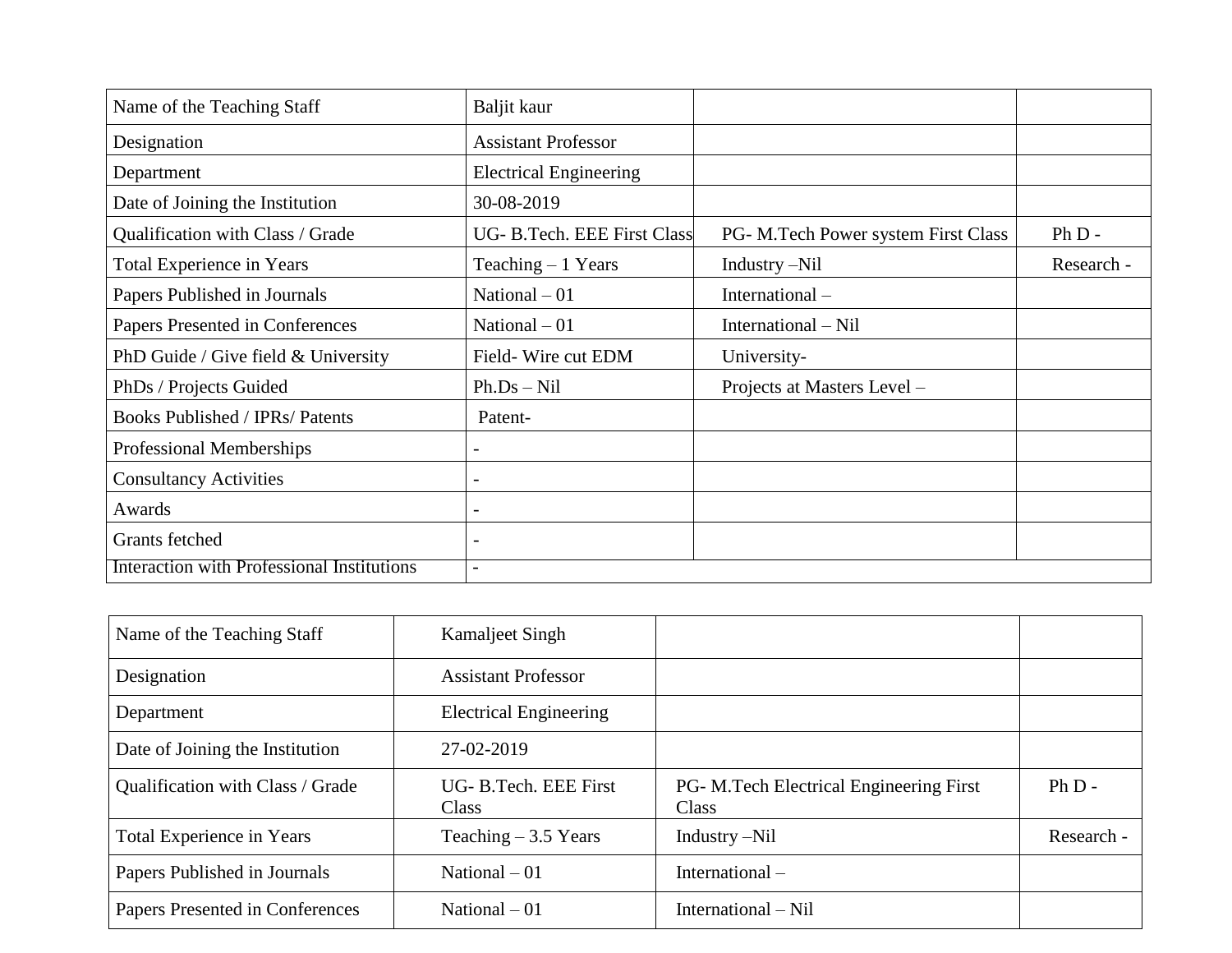| Name of the Teaching Staff                 | Baljit kaur                   |                                     |            |
|--------------------------------------------|-------------------------------|-------------------------------------|------------|
| Designation                                | <b>Assistant Professor</b>    |                                     |            |
| Department                                 | <b>Electrical Engineering</b> |                                     |            |
| Date of Joining the Institution            | 30-08-2019                    |                                     |            |
| Qualification with Class / Grade           | UG- B.Tech. EEE First Class   | PG- M.Tech Power system First Class | $Ph D -$   |
| Total Experience in Years                  | Teaching $-1$ Years           | Industry –Nil                       | Research - |
| Papers Published in Journals               | National $-01$                | International-                      |            |
| Papers Presented in Conferences            | National $-01$                | International – Nil                 |            |
| PhD Guide / Give field $&$ University      | Field-Wire cut EDM            | University-                         |            |
| PhDs / Projects Guided                     | $Ph.Ds-Nil$                   | Projects at Masters Level -         |            |
| <b>Books Published / IPRs/ Patents</b>     | Patent-                       |                                     |            |
| Professional Memberships                   | $\overline{\phantom{0}}$      |                                     |            |
| <b>Consultancy Activities</b>              | $\overline{\phantom{0}}$      |                                     |            |
| Awards                                     | $\overline{\phantom{a}}$      |                                     |            |
| Grants fetched                             | $\overline{\phantom{0}}$      |                                     |            |
| Interaction with Professional Institutions | $\overline{\phantom{0}}$      |                                     |            |

| Name of the Teaching Staff       | Kamaljeet Singh                      |                                                         |            |
|----------------------------------|--------------------------------------|---------------------------------------------------------|------------|
| Designation                      | <b>Assistant Professor</b>           |                                                         |            |
| Department                       | <b>Electrical Engineering</b>        |                                                         |            |
| Date of Joining the Institution  | 27-02-2019                           |                                                         |            |
| Qualification with Class / Grade | UG-B.Tech. EEE First<br><b>Class</b> | <b>PG- M.Tech Electrical Engineering First</b><br>Class | $Ph D -$   |
| Total Experience in Years        | Teaching $-3.5$ Years                | Industry $-Nil$                                         | Research - |
| Papers Published in Journals     | National $-01$                       | International-                                          |            |
| Papers Presented in Conferences  | National $-01$                       | International – Nil                                     |            |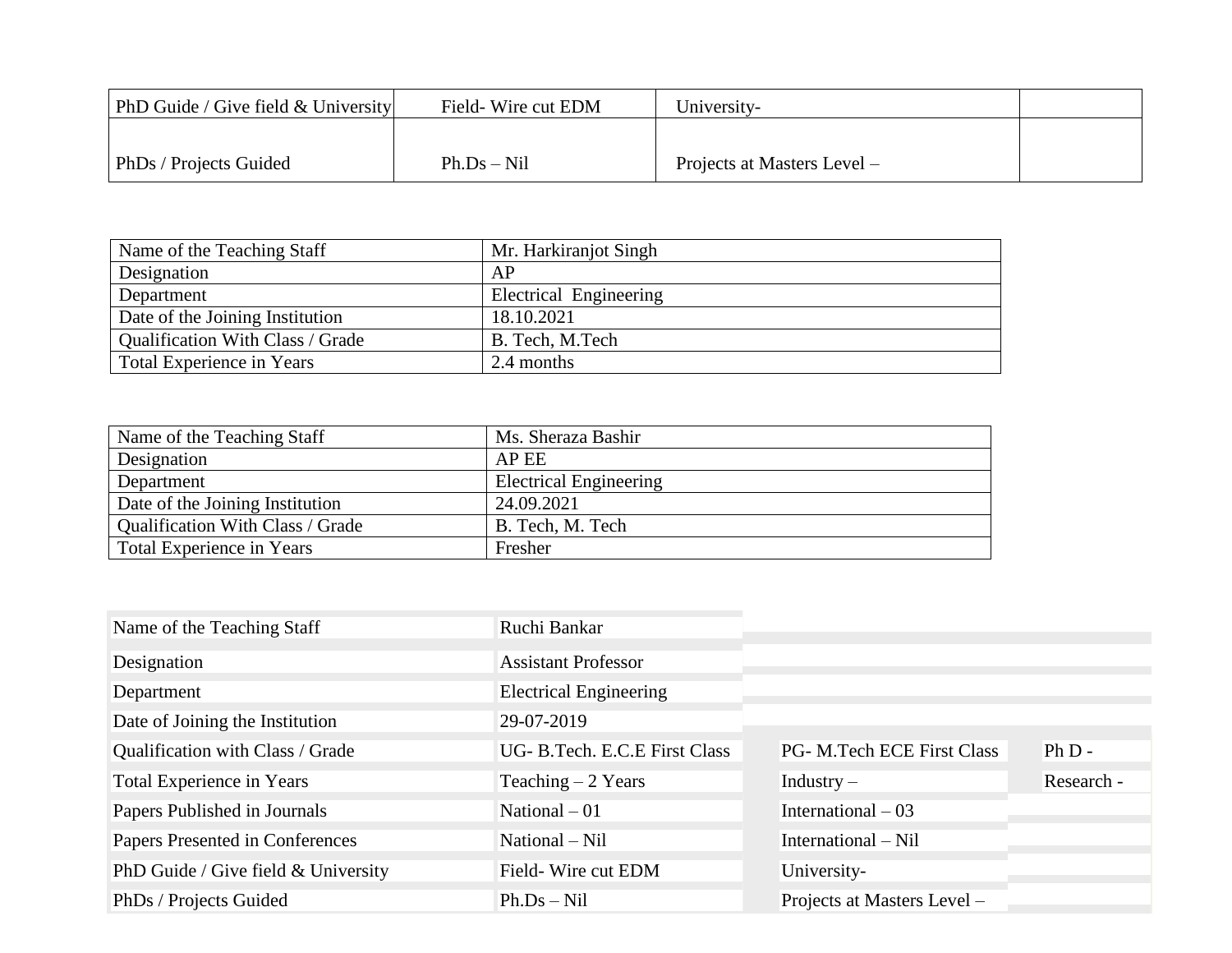| PhD Guide / Give field $&$ University | Field-Wire cut EDM | University-                 |  |
|---------------------------------------|--------------------|-----------------------------|--|
|                                       |                    |                             |  |
| PhDs / Projects Guided                | $Ph.Ds-Nil$        | Projects at Masters Level – |  |

| Name of the Teaching Staff       | Mr. Harkiranjot Singh  |  |
|----------------------------------|------------------------|--|
| Designation                      | AP                     |  |
| Department                       | Electrical Engineering |  |
| Date of the Joining Institution  | 18.10.2021             |  |
| Qualification With Class / Grade | B. Tech, M.Tech        |  |
| <b>Total Experience in Years</b> | 2.4 months             |  |

| Name of the Teaching Staff       | Ms. Sheraza Bashir            |
|----------------------------------|-------------------------------|
| Designation                      | AP EE                         |
| Department                       | <b>Electrical Engineering</b> |
| Date of the Joining Institution  | 24.09.2021                    |
| Qualification With Class / Grade | B. Tech, M. Tech              |
| <b>Total Experience in Years</b> | Fresher                       |

| Name of the Teaching Staff          | Ruchi Bankar                  |                             |            |
|-------------------------------------|-------------------------------|-----------------------------|------------|
| Designation                         | <b>Assistant Professor</b>    |                             |            |
| Department                          | <b>Electrical Engineering</b> |                             |            |
| Date of Joining the Institution     | 29-07-2019                    |                             |            |
| Qualification with Class / Grade    | UG- B.Tech. E.C.E First Class | PG- M.Tech ECE First Class  | $Ph D -$   |
| Total Experience in Years           | Teaching $-2$ Years           | $Industry -$                | Research - |
| Papers Published in Journals        | National $-01$                | International $-03$         |            |
| Papers Presented in Conferences     | National – Nil                | International – Nil         |            |
| PhD Guide / Give field & University | Field-Wire cut EDM            | University-                 |            |
| PhDs / Projects Guided              | $Ph.Ds-Nil$                   | Projects at Masters Level - |            |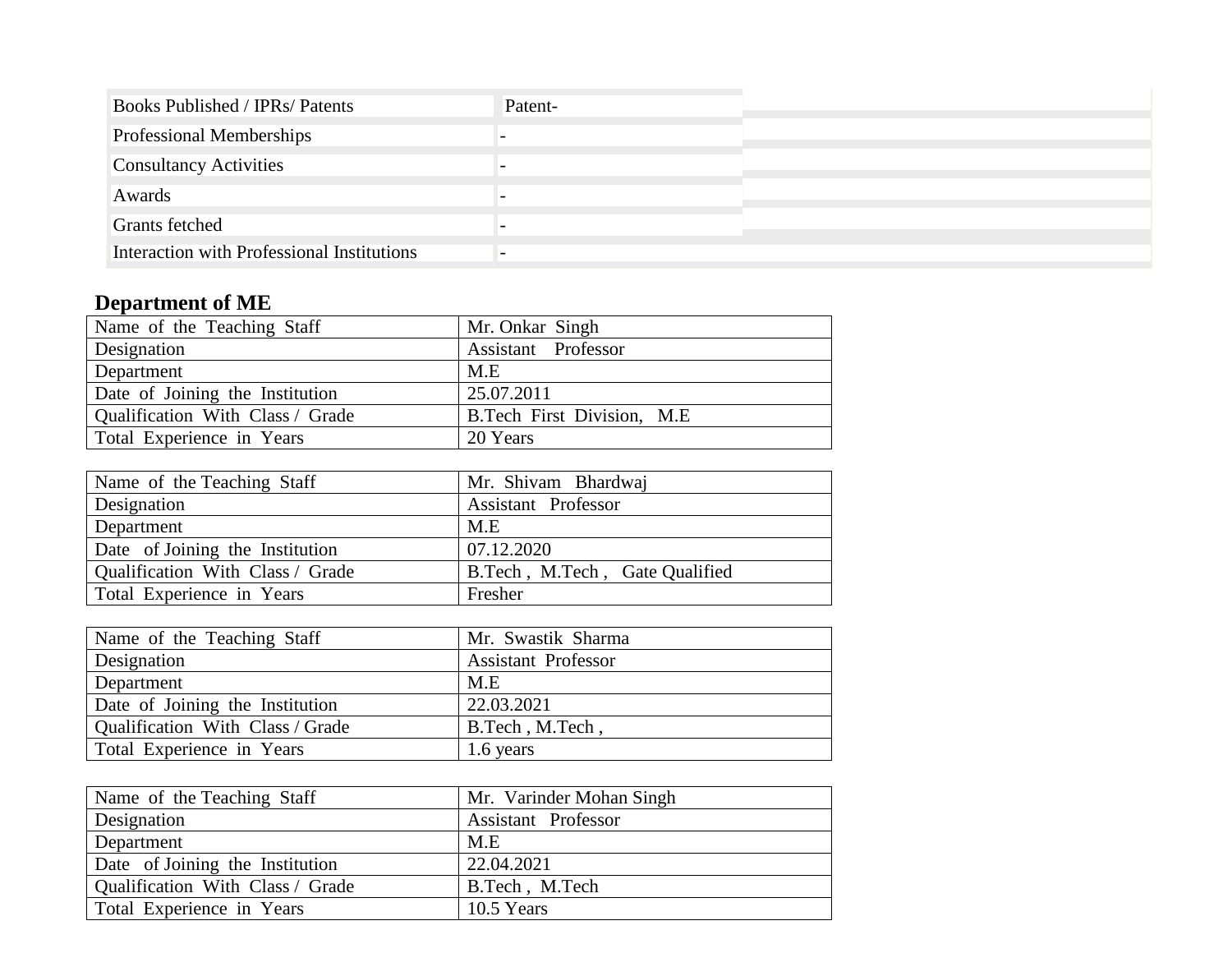| <b>Books Published / IPRs/ Patents</b>     | Patent- |
|--------------------------------------------|---------|
| Professional Memberships                   |         |
| <b>Consultancy Activities</b>              |         |
| Awards                                     |         |
| Grants fetched                             |         |
| Interaction with Professional Institutions |         |

# **Department of ME**

| Name of the Teaching Staff       | Mr. Onkar Singh                   |
|----------------------------------|-----------------------------------|
| Designation                      | Assistant Professor               |
| Department                       | M.E                               |
| Date of Joining the Institution  | 25.07.2011                        |
| Qualification With Class / Grade | <b>B.Tech First Division, M.E</b> |
| Total Experience in Years        | 20 Years                          |

| Name of the Teaching Staff       | Mr. Shivam Bhardwaj            |
|----------------------------------|--------------------------------|
| <b>Designation</b>               | <b>Assistant Professor</b>     |
| Department                       | M.E                            |
| Date of Joining the Institution  | 07.12.2020                     |
| Qualification With Class / Grade | B.Tech, M.Tech, Gate Qualified |
| Total Experience in Years        | Fresher                        |

| Name of the Teaching Staff              | Mr. Swastik Sharma         |
|-----------------------------------------|----------------------------|
| <b>Designation</b>                      | <b>Assistant Professor</b> |
| Department                              | M.E                        |
| Date of Joining the Institution         | 22.03.2021                 |
| <b>Qualification With Class / Grade</b> | B.Tech, M.Tech,            |
| Total Experience in Years               | 1.6 years                  |

| Name of the Teaching Staff       | Mr. Varinder Mohan Singh   |
|----------------------------------|----------------------------|
| Designation                      | <b>Assistant Professor</b> |
| Department                       | M.E                        |
| Date of Joining the Institution  | 22.04.2021                 |
| Qualification With Class / Grade | B.Tech, M.Tech             |
| Total Experience in Years        | 10.5 Years                 |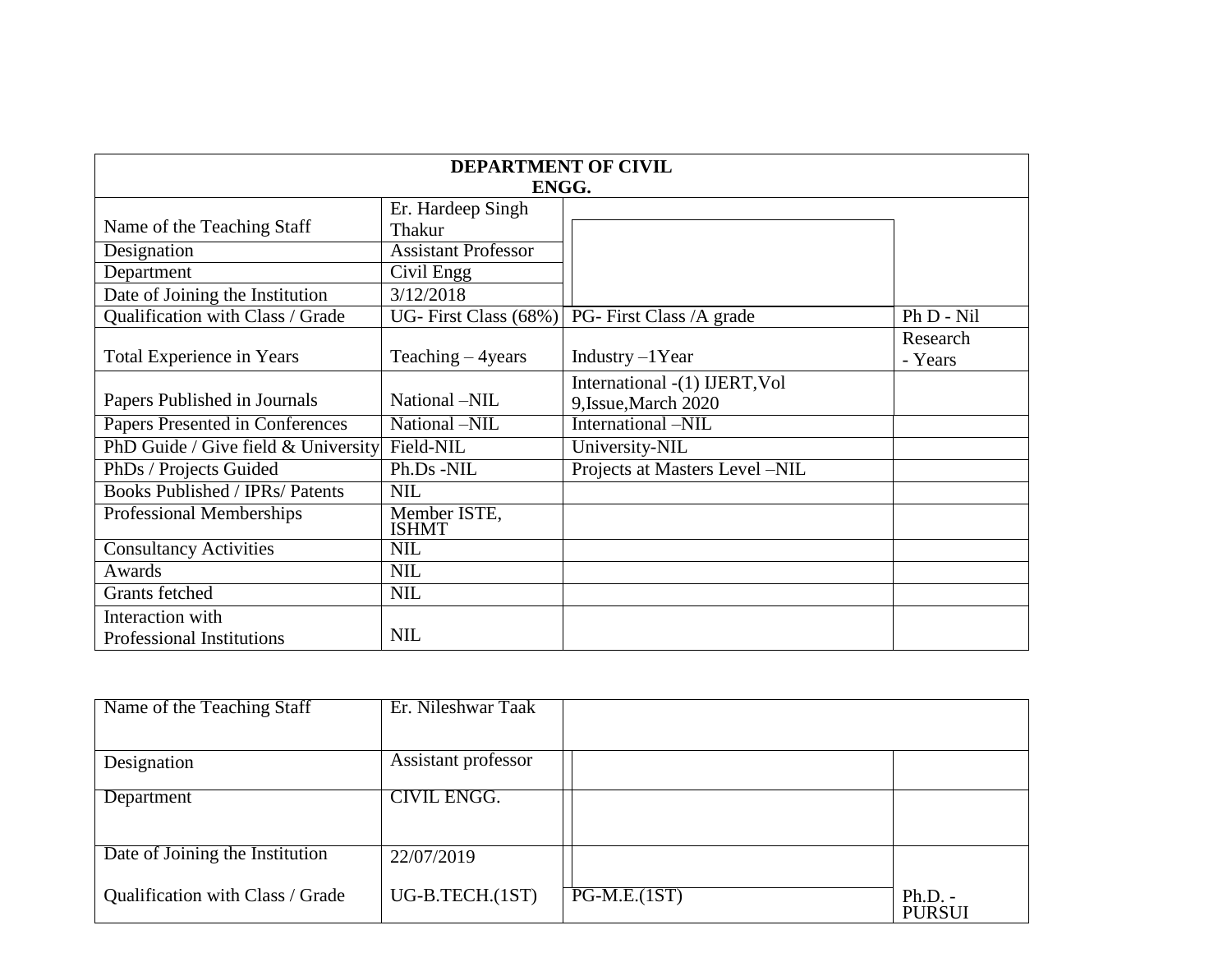| <b>DEPARTMENT OF CIVIL</b><br>ENGG.    |                                    |                                |                     |
|----------------------------------------|------------------------------------|--------------------------------|---------------------|
| Name of the Teaching Staff             | Er. Hardeep Singh<br><b>Thakur</b> |                                |                     |
| Designation                            | <b>Assistant Professor</b>         |                                |                     |
| Department                             | Civil Engg                         |                                |                     |
| Date of Joining the Institution        | 3/12/2018                          |                                |                     |
| Qualification with Class / Grade       | UG-First Class $(68%)$             | PG-First Class /A grade        | Ph D - Nil          |
| Total Experience in Years              | Teaching $-4$ years                | Industry $-1$ Year             | Research<br>- Years |
|                                        |                                    | International -(1) IJERT, Vol  |                     |
| Papers Published in Journals           | National -NIL                      | 9, Issue, March 2020           |                     |
| Papers Presented in Conferences        | National -NIL                      | International -NIL             |                     |
| PhD Guide / Give field $&$ University  | Field-NIL                          | University-NIL                 |                     |
| PhDs / Projects Guided                 | Ph.Ds -NIL                         | Projects at Masters Level -NIL |                     |
| <b>Books Published / IPRs/ Patents</b> | <b>NIL</b>                         |                                |                     |
| Professional Memberships               | Member ISTE,<br><b>ISHMT</b>       |                                |                     |
| <b>Consultancy Activities</b>          | <b>NIL</b>                         |                                |                     |
| Awards                                 | <b>NIL</b>                         |                                |                     |
| Grants fetched                         | <b>NIL</b>                         |                                |                     |
| Interaction with                       |                                    |                                |                     |
| <b>Professional Institutions</b>       | <b>NIL</b>                         |                                |                     |

| Name of the Teaching Staff       | Er. Nileshwar Taak  |                |               |
|----------------------------------|---------------------|----------------|---------------|
|                                  |                     |                |               |
| Designation                      | Assistant professor |                |               |
|                                  | <b>CIVIL ENGG.</b>  |                |               |
| Department                       |                     |                |               |
|                                  |                     |                |               |
| Date of Joining the Institution  | 22/07/2019          |                |               |
|                                  |                     |                |               |
| Qualification with Class / Grade | UG-B.TECH.(1ST)     | $PG-M.E.(1ST)$ | $Ph.D. -$     |
|                                  |                     |                | <b>PURSUI</b> |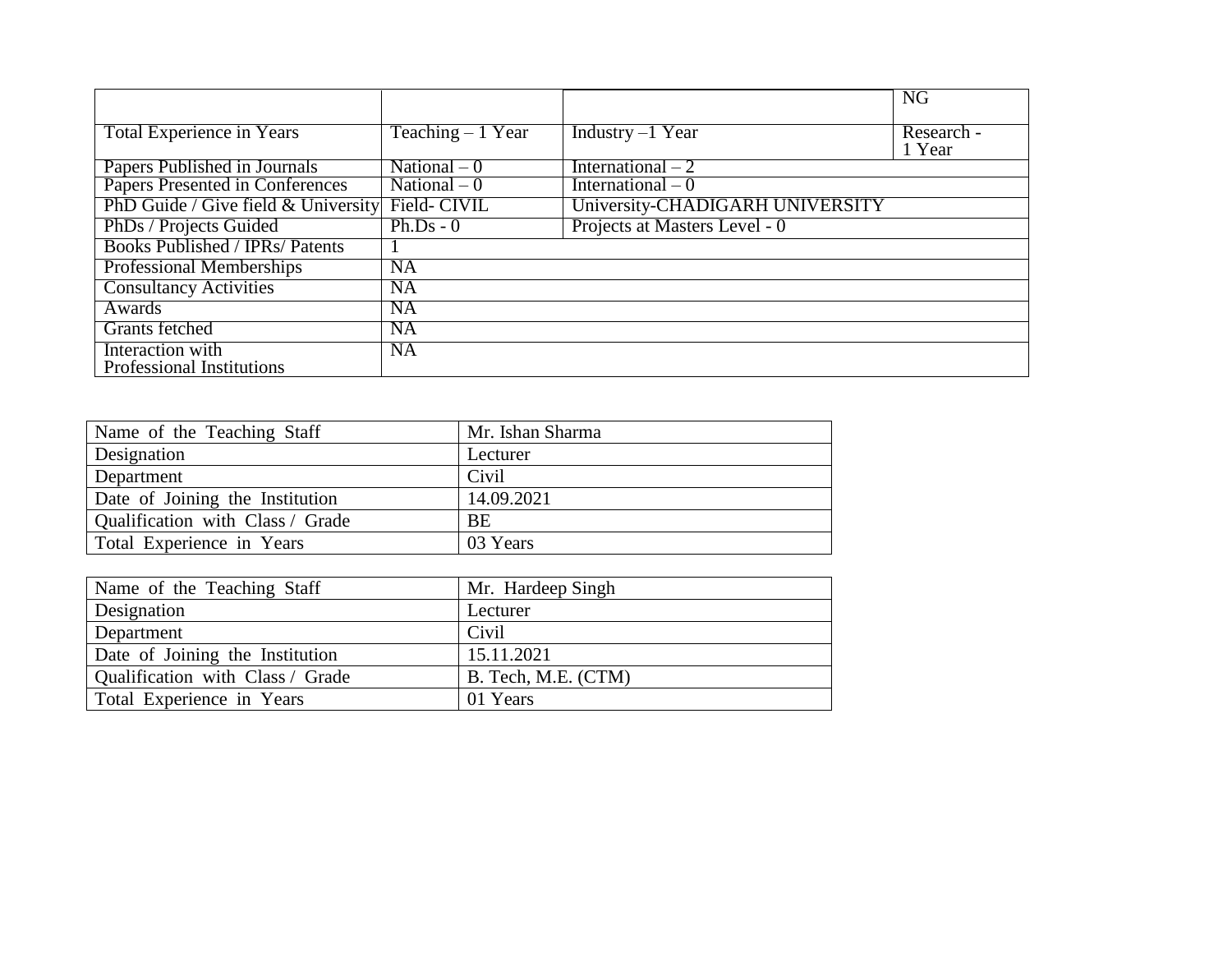|                                                  |                    |                                 | <b>NG</b>            |
|--------------------------------------------------|--------------------|---------------------------------|----------------------|
| <b>Total Experience in Years</b>                 | Teaching $-1$ Year | Industry $-1$ Year              | Research -<br>1 Year |
| Papers Published in Journals                     | National $-0$      | International $-2$              |                      |
| Papers Presented in Conferences                  | National $-0$      | International $-0$              |                      |
| PhD Guide / Give field & University Field- CIVIL |                    | University-CHADIGARH UNIVERSITY |                      |
| PhDs / Projects Guided                           | $Ph.Ds - 0$        | Projects at Masters Level - 0   |                      |
| <b>Books Published / IPRs/ Patents</b>           |                    |                                 |                      |
| <b>Professional Memberships</b>                  | <b>NA</b>          |                                 |                      |
| <b>Consultancy Activities</b>                    | <b>NA</b>          |                                 |                      |
| Awards                                           | <b>NA</b>          |                                 |                      |
| Grants fetched                                   | <b>NA</b>          |                                 |                      |
| Interaction with<br>Professional Institutions    | <b>NA</b>          |                                 |                      |

| Name of the Teaching Staff       | Mr. Ishan Sharma |
|----------------------------------|------------------|
| Designation                      | Lecturer         |
| Department                       | Civil            |
| Date of Joining the Institution  | 14.09.2021       |
| Qualification with Class / Grade | BE               |
| Total Experience in Years        | 03 Years         |

| Name of the Teaching Staff       | Mr. Hardeep Singh   |
|----------------------------------|---------------------|
| Designation                      | Lecturer            |
| Department                       | Civil               |
| Date of Joining the Institution  | 15.11.2021          |
| Qualification with Class / Grade | B. Tech, M.E. (CTM) |
| Total Experience in Years        | 01 Years            |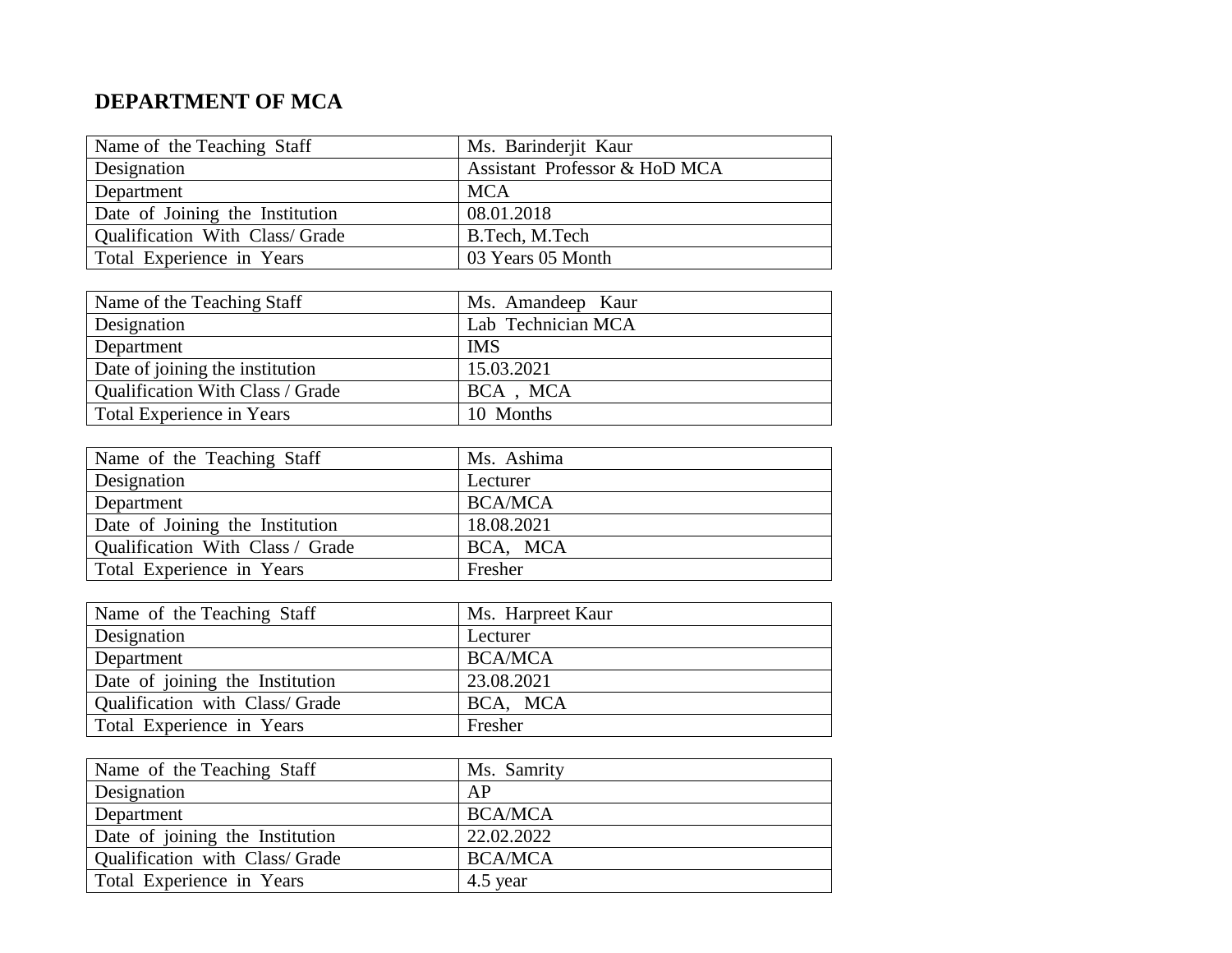# **DEPARTMENT OF MCA**

| Name of the Teaching Staff      | Ms. Barinderjit Kaur          |
|---------------------------------|-------------------------------|
| Designation                     | Assistant Professor & HoD MCA |
| Department                      | <b>MCA</b>                    |
| Date of Joining the Institution | 08.01.2018                    |
| Qualification With Class/ Grade | B.Tech, M.Tech                |
| Total Experience in Years       | 03 Years 05 Month             |

| Name of the Teaching Staff              | Ms. Amandeep Kaur  |
|-----------------------------------------|--------------------|
| <b>Designation</b>                      | Lab Technician MCA |
| Department                              | <b>IMS</b>         |
| Date of joining the institution         | 15.03.2021         |
| <b>Qualification With Class / Grade</b> | BCA, MCA           |
| Total Experience in Years               | 10 Months          |

| Name of the Teaching Staff       | Ms. Ashima     |
|----------------------------------|----------------|
| Designation                      | Lecturer       |
| Department                       | <b>BCA/MCA</b> |
| Date of Joining the Institution  | 18.08.2021     |
| Qualification With Class / Grade | BCA, MCA       |
| Total Experience in Years        | Fresher        |

| Name of the Teaching Staff      | Ms. Harpreet Kaur |
|---------------------------------|-------------------|
| Designation                     | Lecturer          |
| Department                      | <b>BCA/MCA</b>    |
| Date of joining the Institution | 23.08.2021        |
| Qualification with Class/Grade  | BCA, MCA          |
| Total Experience in Years       | Fresher           |

| Name of the Teaching Staff      | Ms. Samrity    |
|---------------------------------|----------------|
| Designation                     | AP             |
| Department                      | <b>BCA/MCA</b> |
| Date of joining the Institution | 22.02.2022     |
| Qualification with Class/Grade  | <b>BCA/MCA</b> |
| Total Experience in Years       | 4.5 year       |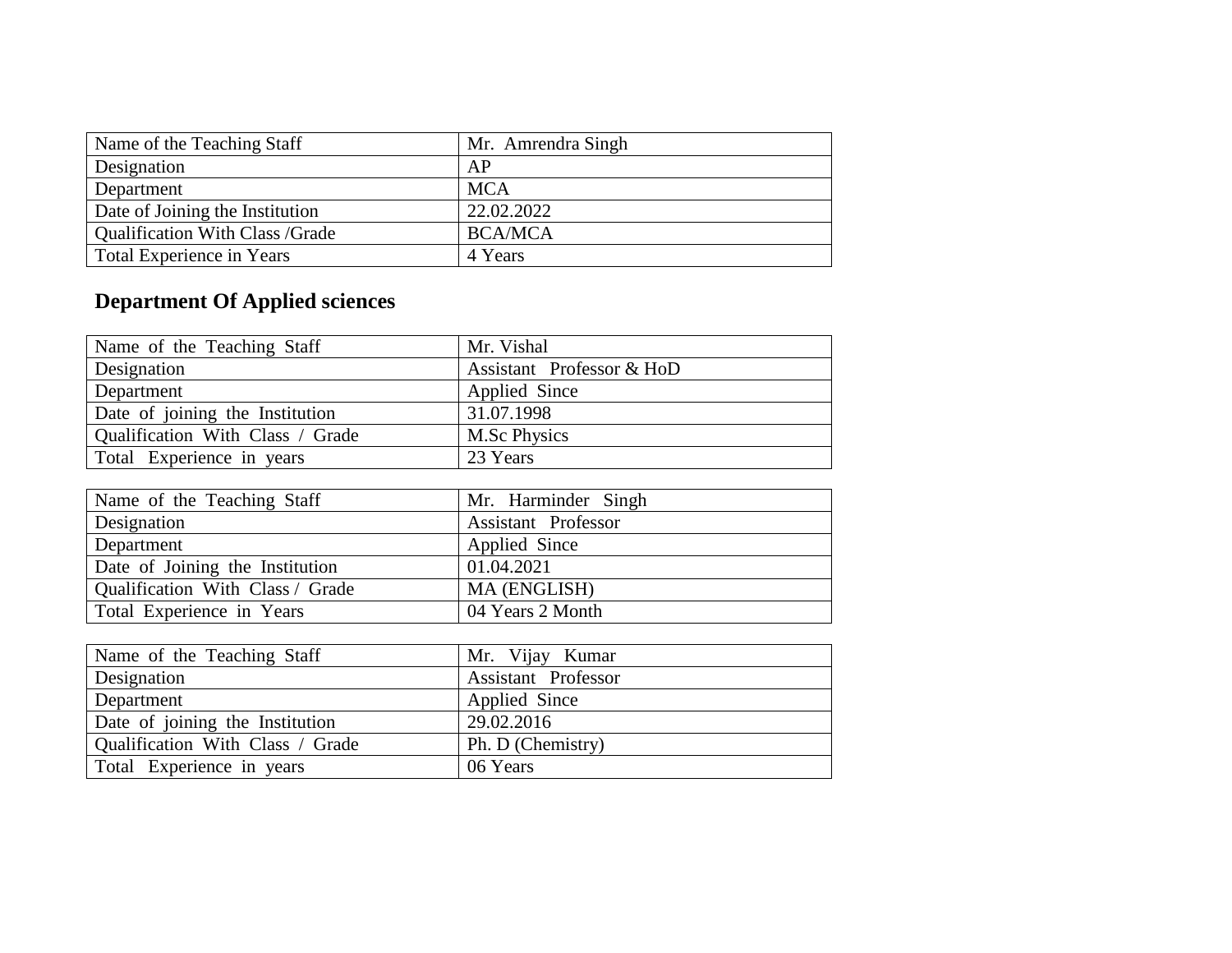| Name of the Teaching Staff       | Mr. Amrendra Singh |
|----------------------------------|--------------------|
| Designation                      | AP                 |
| Department                       | <b>MCA</b>         |
| Date of Joining the Institution  | 22.02.2022         |
| Qualification With Class / Grade | <b>BCA/MCA</b>     |
| Total Experience in Years        | 4 Years            |

# **Department Of Applied sciences**

| Name of the Teaching Staff       | Mr. Vishal                |
|----------------------------------|---------------------------|
| Designation                      | Assistant Professor & HoD |
| Department                       | Applied Since             |
| Date of joining the Institution  | 31.07.1998                |
| Qualification With Class / Grade | M.Sc Physics              |
| Total Experience in years        | 23 Years                  |

| Name of the Teaching Staff       | Mr. Harminder Singh        |
|----------------------------------|----------------------------|
| Designation                      | <b>Assistant Professor</b> |
| Department                       | Applied Since              |
| Date of Joining the Institution  | 01.04.2021                 |
| Qualification With Class / Grade | MA (ENGLISH)               |
| Total Experience in Years        | 04 Years 2 Month           |

| Name of the Teaching Staff       | Mr. Vijay Kumar            |
|----------------------------------|----------------------------|
| Designation                      | <b>Assistant Professor</b> |
| Department                       | Applied Since              |
| Date of joining the Institution  | 29.02.2016                 |
| Qualification With Class / Grade | Ph. D (Chemistry)          |
| Total Experience in years        | 06 Years                   |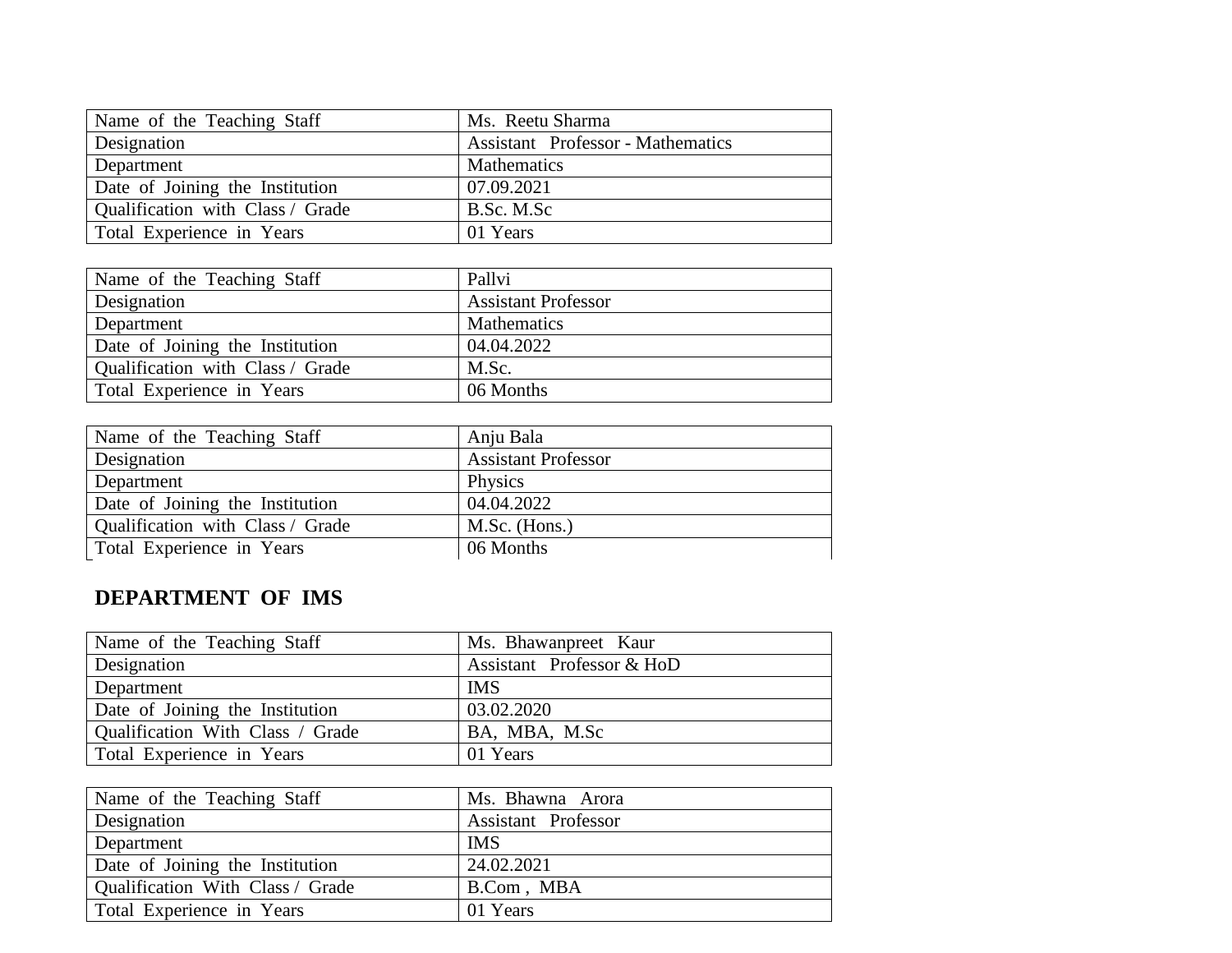| Name of the Teaching Staff       | Ms. Reetu Sharma                         |
|----------------------------------|------------------------------------------|
| Designation                      | <b>Assistant</b> Professor - Mathematics |
| Department                       | Mathematics                              |
| Date of Joining the Institution  | 07.09.2021                               |
| Qualification with Class / Grade | B.Sc. M.Sc                               |
| Total Experience in Years        | 01 Years                                 |

| Name of the Teaching Staff       | Pallvi                     |
|----------------------------------|----------------------------|
| Designation                      | <b>Assistant Professor</b> |
| Department                       | <b>Mathematics</b>         |
| Date of Joining the Institution  | 04.04.2022                 |
| Qualification with Class / Grade | M.Sc.                      |
| Total Experience in Years        | 06 Months                  |

| Name of the Teaching Staff       | Anju Bala                  |
|----------------------------------|----------------------------|
| Designation                      | <b>Assistant Professor</b> |
| Department                       | Physics                    |
| Date of Joining the Institution  | 04.04.2022                 |
| Qualification with Class / Grade | M.Sc. (Hons.)              |
| Total Experience in Years        | 06 Months                  |

# **DEPARTMENT OF IMS**

| Name of the Teaching Staff       | Ms. Bhawanpreet Kaur      |
|----------------------------------|---------------------------|
| Designation                      | Assistant Professor & HoD |
| Department                       | <b>IMS</b>                |
| Date of Joining the Institution  | 03.02.2020                |
| Qualification With Class / Grade | BA, MBA, M.Sc             |
| Total Experience in Years        | 01 Years                  |

| Name of the Teaching Staff       | Ms. Bhawna Arora           |
|----------------------------------|----------------------------|
| Designation                      | <b>Assistant Professor</b> |
| Department                       | <b>IMS</b>                 |
| Date of Joining the Institution  | 24.02.2021                 |
| Qualification With Class / Grade | B.Com, MBA                 |
| Total Experience in Years        | 01 Years                   |